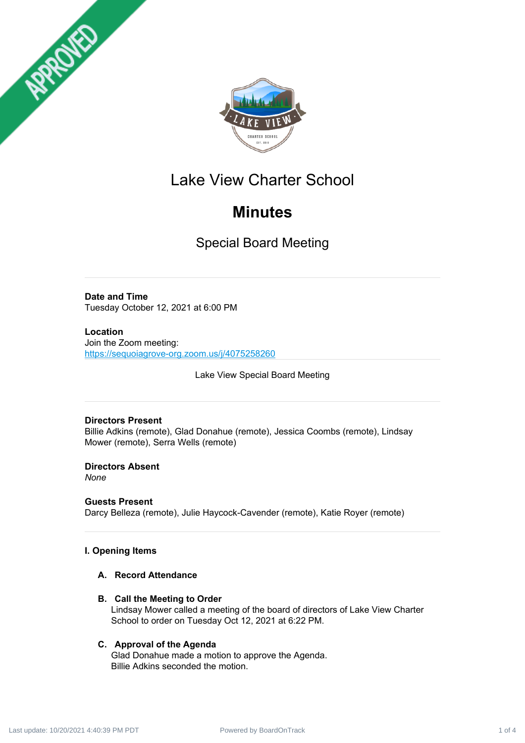



# Lake View Charter School

# **Minutes**

Special Board Meeting

**Date and Time** Tuesday October 12, 2021 at 6:00 PM

**Location** Join the Zoom meeting: <https://sequoiagrove-org.zoom.us/j/4075258260>

Lake View Special Board Meeting

## **Directors Present**

Billie Adkins (remote), Glad Donahue (remote), Jessica Coombs (remote), Lindsay Mower (remote), Serra Wells (remote)

**Directors Absent** *None*

## **Guests Present**

Darcy Belleza (remote), Julie Haycock-Cavender (remote), Katie Royer (remote)

## **I. Opening Items**

## **A. Record Attendance**

**B. Call the Meeting to Order**

Lindsay Mower called a meeting of the board of directors of Lake View Charter School to order on Tuesday Oct 12, 2021 at 6:22 PM.

## **C. Approval of the Agenda**

Glad Donahue made a motion to approve the Agenda. Billie Adkins seconded the motion.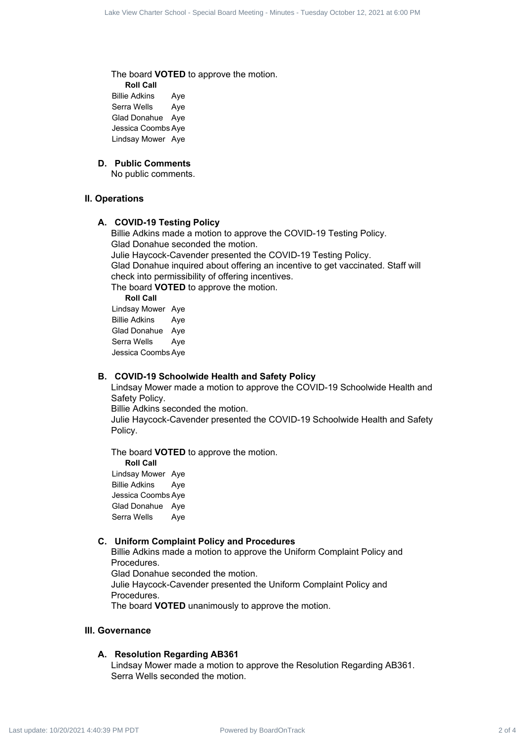The board **VOTED** to approve the motion.

**Roll Call** Billie Adkins Aye Serra Wells Aye Glad Donahue Aye Jessica Coombs Aye Lindsay Mower Aye

### **D. Public Comments**

No public comments.

#### **II. Operations**

#### **A. COVID-19 Testing Policy**

Billie Adkins made a motion to approve the COVID-19 Testing Policy. Glad Donahue seconded the motion. Julie Haycock-Cavender presented the COVID-19 Testing Policy. Glad Donahue inquired about offering an incentive to get vaccinated. Staff will check into permissibility of offering incentives. The board **VOTED** to approve the motion. Like the Charter Contract 2 of 4 Lake View Charter School - Special Board - Minutes - Tuesday October 12, 2021<br>
The Lake View Charter School - Special Board - Minutes - Minutes - Minutes - Minutes - Minutes - Minutes - Mi

**Roll Call** Lindsay Mower Aye Billie Adkins Aye Glad Donahue Aye Serra Wells Aye Jessica Coombs Aye

#### **B. COVID-19 Schoolwide Health and Safety Policy**

Lindsay Mower made a motion to approve the COVID-19 Schoolwide Health and Safety Policy.

Billie Adkins seconded the motion.

Julie Haycock-Cavender presented the COVID-19 Schoolwide Health and Safety Policy.

The board **VOTED** to approve the motion. **Roll Call** Lindsay Mower Aye Billie Adkins Aye Jessica Coombs Aye Glad Donahue Aye Serra Wells Aye

#### **C. Uniform Complaint Policy and Procedures**

Billie Adkins made a motion to approve the Uniform Complaint Policy and Procedures. Glad Donahue seconded the motion. Julie Haycock-Cavender presented the Uniform Complaint Policy and Procedures.

The board **VOTED** unanimously to approve the motion.

#### **III. Governance**

#### **A. Resolution Regarding AB361**

Lindsay Mower made a motion to approve the Resolution Regarding AB361. Serra Wells seconded the motion.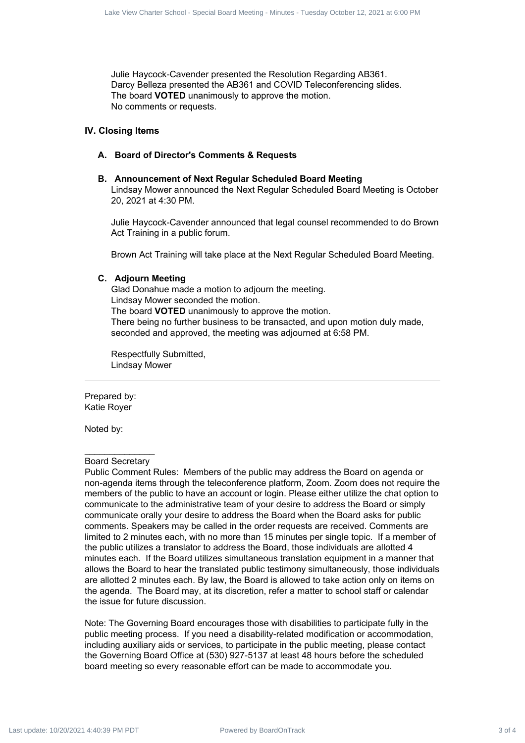Julie Haycock-Cavender presented the Resolution Regarding AB361. Darcy Belleza presented the AB361 and COVID Teleconferencing slides. The board **VOTED** unanimously to approve the motion. No comments or requests.

#### **IV. Closing Items**

#### **A. Board of Director's Comments & Requests**

#### **B. Announcement of Next Regular Scheduled Board Meeting**

Lindsay Mower announced the Next Regular Scheduled Board Meeting is October 20, 2021 at 4:30 PM.

Julie Haycock-Cavender announced that legal counsel recommended to do Brown Act Training in a public forum.

Brown Act Training will take place at the Next Regular Scheduled Board Meeting.

#### **C. Adjourn Meeting**

Glad Donahue made a motion to adjourn the meeting. Lindsay Mower seconded the motion. The board **VOTED** unanimously to approve the motion. There being no further business to be transacted, and upon motion duly made, seconded and approved, the meeting was adjourned at 6:58 PM.

Respectfully Submitted, Lindsay Mower

Prepared by: Katie Royer

Noted by:

#### Board Secretary

Public Comment Rules: Members of the public may address the Board on agenda or non-agenda items through the teleconference platform, Zoom. Zoom does not require the members of the public to have an account or login. Please either utilize the chat option to communicate to the administrative team of your desire to address the Board or simply communicate orally your desire to address the Board when the Board asks for public comments. Speakers may be called in the order requests are received. Comments are limited to 2 minutes each, with no more than 15 minutes per single topic. If a member of the public utilizes a translator to address the Board, those individuals are allotted 4 minutes each. If the Board utilizes simultaneous translation equipment in a manner that allows the Board to hear the translated public testimony simultaneously, those individuals are allotted 2 minutes each. By law, the Board is allowed to take action only on items on the agenda. The Board may, at its discretion, refer a matter to school staff or calendar the issue for future discussion. Where Contract 3 of 4 Lake View Charter 3 of 4 Lake View Charter 3 of 4 Lake View Charter 3 of 4 Lake View Charter 3 of 4 Lake View Charter 3 of 4 Lake View Charter 3 of 4 Lake View Charter 3 of 4 Lake View Charter 3 of

Note: The Governing Board encourages those with disabilities to participate fully in the public meeting process. If you need a disability-related modification or accommodation, including auxiliary aids or services, to participate in the public meeting, please contact the Governing Board Office at (530) 927-5137 at least 48 hours before the scheduled board meeting so every reasonable effort can be made to accommodate you.